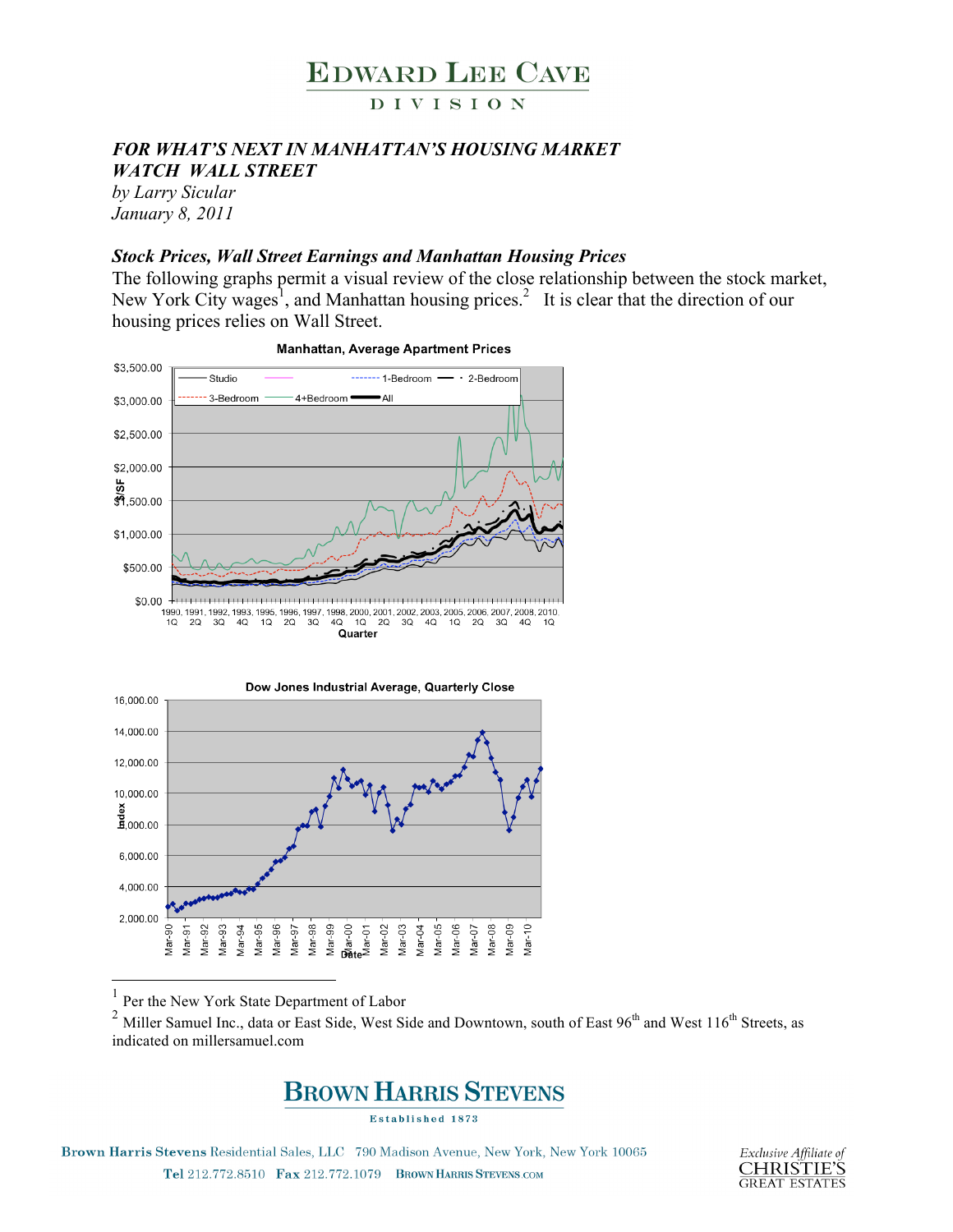

#### **DIVISION**

#### *FOR WHAT'S NEXT IN MANHATTAN'S HOUSING MARKET WATCH WALL STREET*

*by Larry Sicular January 8, 2011*

#### *Stock Prices, Wall Street Earnings and Manhattan Housing Prices*

The following graphs permit a visual review of the close relationship between the stock market, New York City wages<sup>1</sup>, and Manhattan housing prices.<sup>2</sup> It is clear that the direction of our housing prices relies on Wall Street.







Per the New York State Department of Labor

<sup>2</sup> Miller Samuel Inc., data or East Side, West Side and Downtown, south of East 96<sup>th</sup> and West 116<sup>th</sup> Streets, as indicated on millersamuel.com



**Established 1873** 

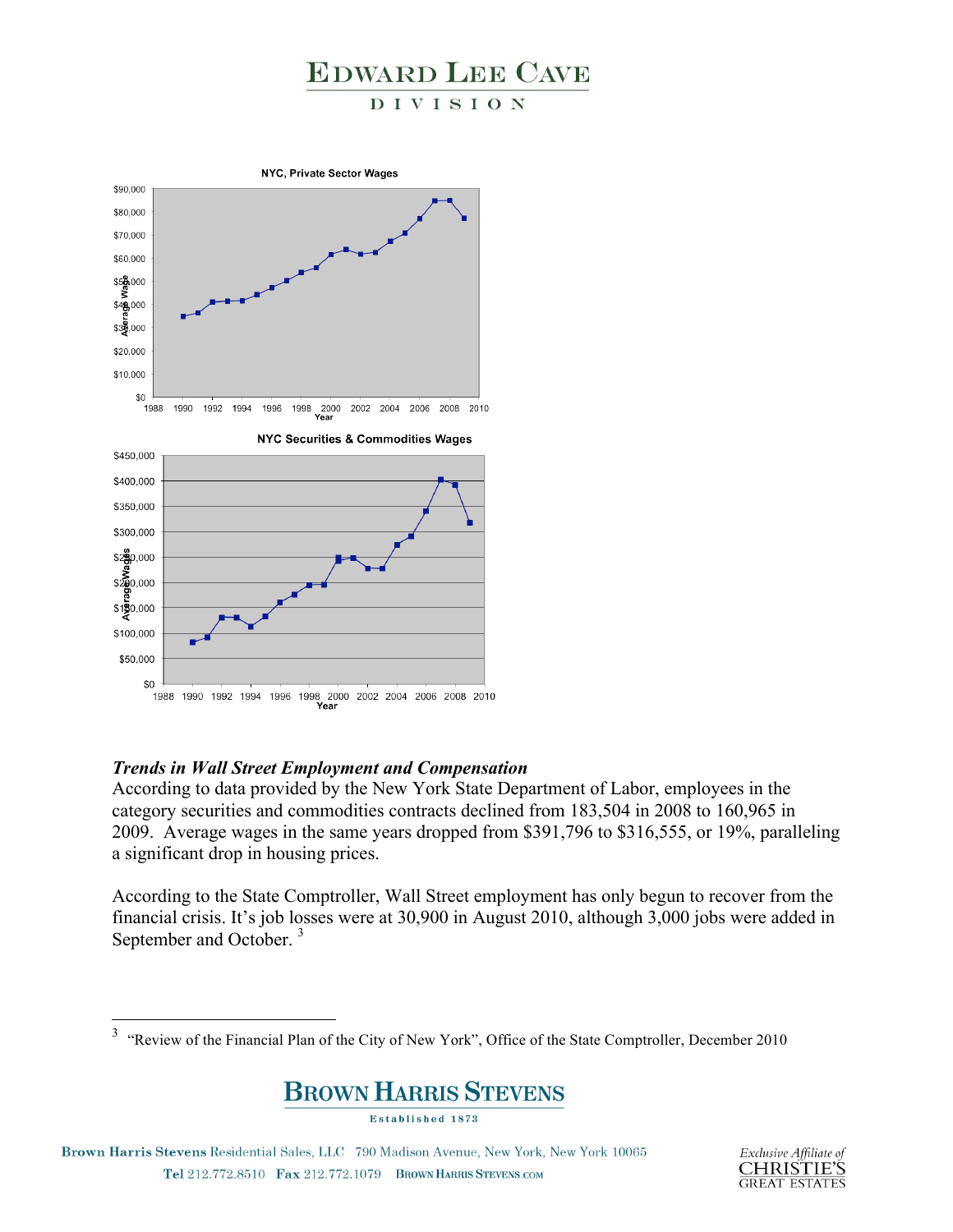#### DIVISION



#### *Trends in Wall Street Employment and Compensation*

According to data provided by the New York State Department of Labor, employees in the category securities and commodities contracts declined from 183,504 in 2008 to 160,965 in 2009. Average wages in the same years dropped from \$391,796 to \$316,555, or 19%, paralleling a significant drop in housing prices.

According to the State Comptroller, Wall Street employment has only begun to recover from the financial crisis. It's job losses were at 30,900 in August 2010, although 3,000 jobs were added in September and October.<sup>3</sup>

### **BROWN HARRIS STEVENS**

Established 1873



 <sup>3</sup> "Review of the Financial Plan of the City of New York", Office of the State Comptroller, December 2010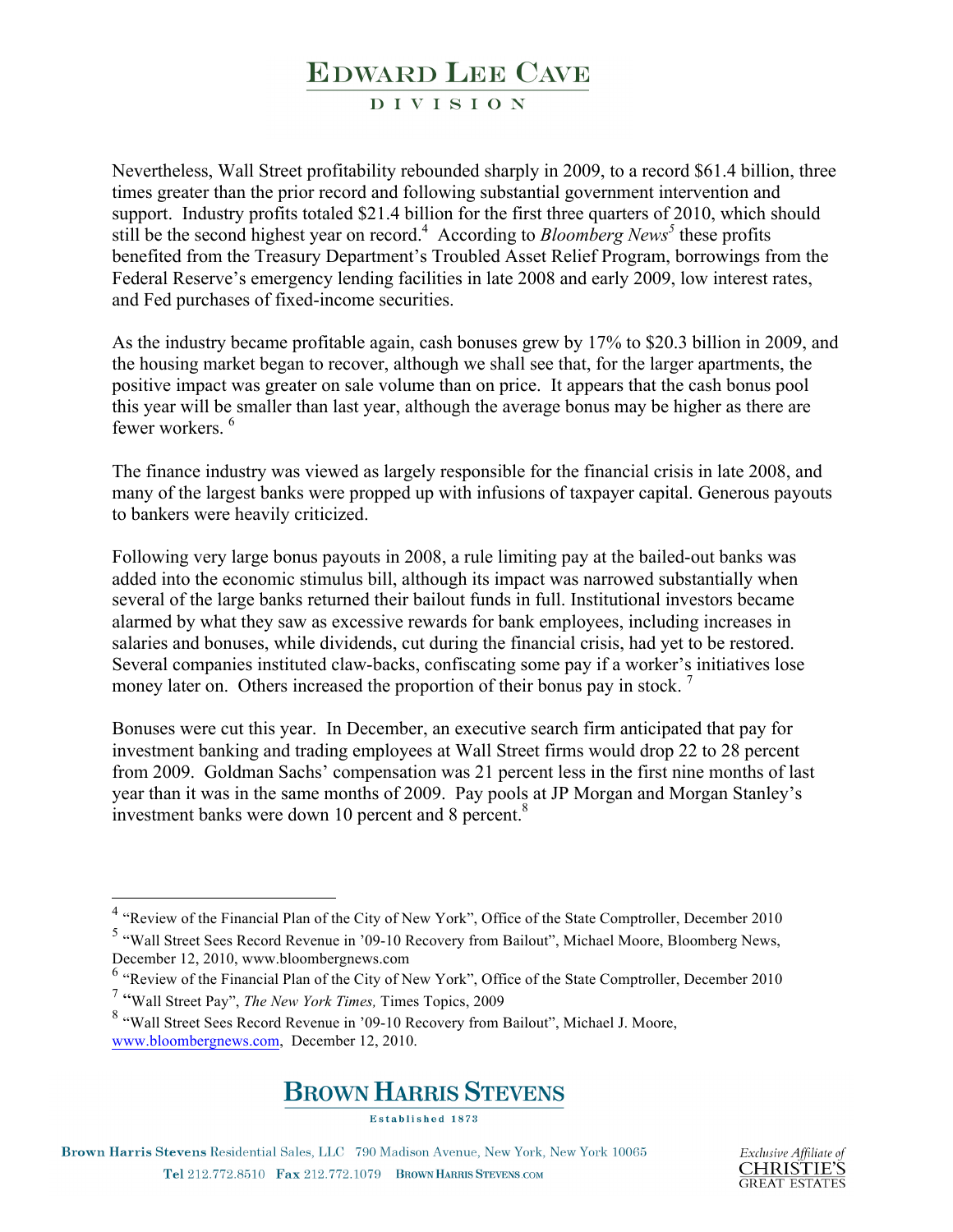#### **DIVISION**

Nevertheless, Wall Street profitability rebounded sharply in 2009, to a record \$61.4 billion, three times greater than the prior record and following substantial government intervention and support. Industry profits totaled \$21.4 billion for the first three quarters of 2010, which should still be the second highest year on record.<sup>4</sup> According to *Bloomberg News*<sup>5</sup> these profits benefited from the Treasury Department's Troubled Asset Relief Program, borrowings from the Federal Reserve's emergency lending facilities in late 2008 and early 2009, low interest rates, and Fed purchases of fixed-income securities.

As the industry became profitable again, cash bonuses grew by 17% to \$20.3 billion in 2009, and the housing market began to recover, although we shall see that, for the larger apartments, the positive impact was greater on sale volume than on price. It appears that the cash bonus pool this year will be smaller than last year, although the average bonus may be higher as there are fewer workers. 6

The finance industry was viewed as largely responsible for the financial crisis in late 2008, and many of the largest banks were propped up with infusions of taxpayer capital. Generous payouts to bankers were heavily criticized.

Following very large bonus payouts in 2008, a rule limiting pay at the bailed-out banks was added into the economic stimulus bill, although its impact was narrowed substantially when several of the large banks returned their bailout funds in full. Institutional investors became alarmed by what they saw as excessive rewards for bank employees, including increases in salaries and bonuses, while dividends, cut during the financial crisis, had yet to be restored. Several companies instituted claw-backs, confiscating some pay if a worker's initiatives lose money later on. Others increased the proportion of their bonus pay in stock.<sup>7</sup>

Bonuses were cut this year. In December, an executive search firm anticipated that pay for investment banking and trading employees at Wall Street firms would drop 22 to 28 percent from 2009. Goldman Sachs' compensation was 21 percent less in the first nine months of last year than it was in the same months of 2009. Pay pools at JP Morgan and Morgan Stanley's investment banks were down 10 percent and 8 percent.<sup>8</sup>

<sup>8</sup> "Wall Street Sees Record Revenue in '09-10 Recovery from Bailout", Michael J. Moore, www.bloombergnews.com, December 12, 2010.



**Established 1873** 



 <sup>4</sup> "Review of the Financial Plan of the City of New York", Office of the State Comptroller, December 2010

<sup>5</sup> "Wall Street Sees Record Revenue in '09-10 Recovery from Bailout", Michael Moore, Bloomberg News, December 12, 2010, www.bloombergnews.com

<sup>6</sup> "Review of the Financial Plan of the City of New York", Office of the State Comptroller, December 2010

<sup>7</sup> "Wall Street Pay", *The New York Times,* Times Topics, 2009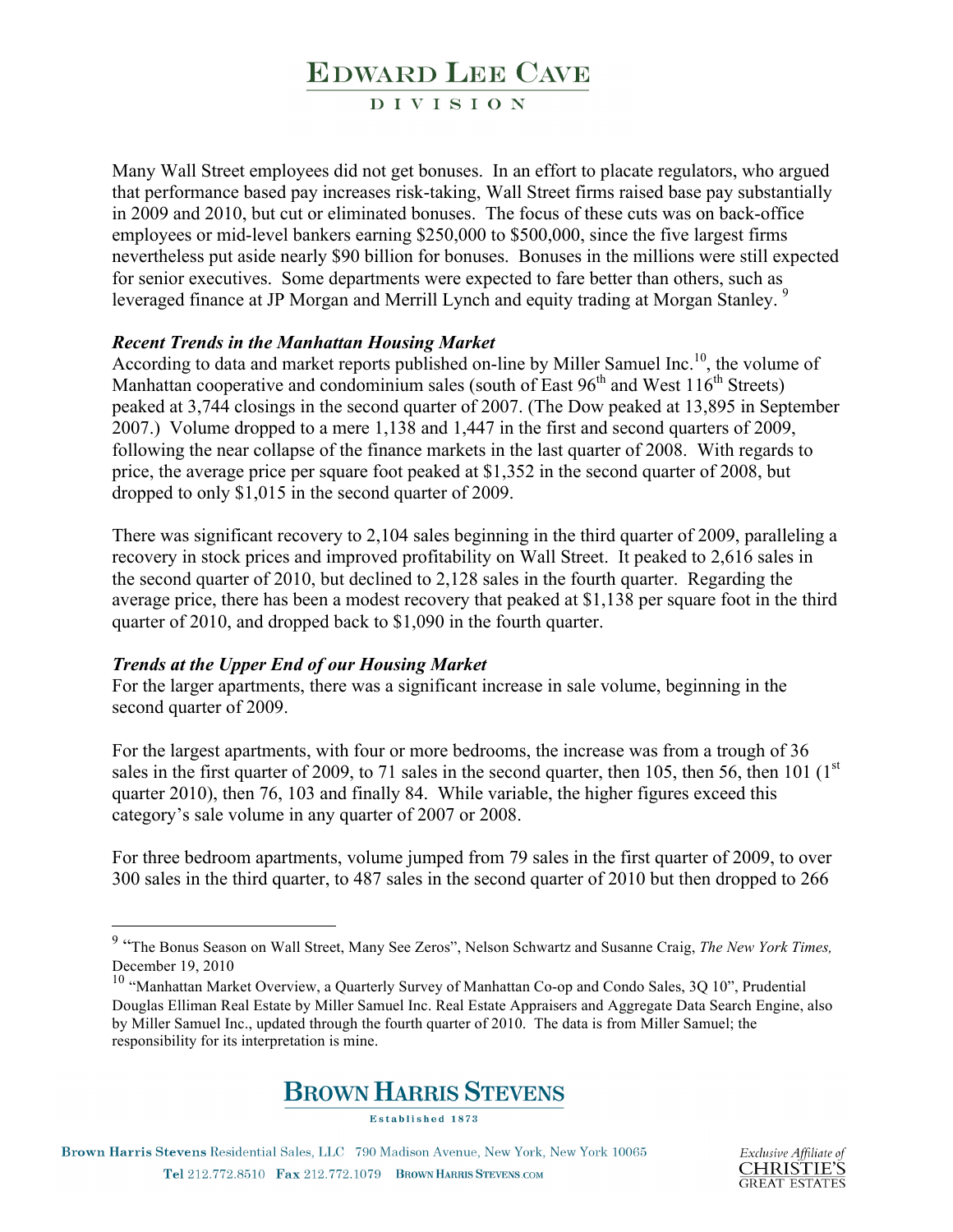**DIVISION** 

Many Wall Street employees did not get bonuses. In an effort to placate regulators, who argued that performance based pay increases risk-taking, Wall Street firms raised base pay substantially in 2009 and 2010, but cut or eliminated bonuses. The focus of these cuts was on back-office employees or mid-level bankers earning \$250,000 to \$500,000, since the five largest firms nevertheless put aside nearly \$90 billion for bonuses. Bonuses in the millions were still expected for senior executives. Some departments were expected to fare better than others, such as leveraged finance at JP Morgan and Merrill Lynch and equity trading at Morgan Stanley.<sup>9</sup>

#### *Recent Trends in the Manhattan Housing Market*

According to data and market reports published on-line by Miller Samuel Inc.<sup>10</sup>, the volume of Manhattan cooperative and condominium sales (south of East  $96<sup>th</sup>$  and West  $116<sup>th</sup>$  Streets) peaked at 3,744 closings in the second quarter of 2007. (The Dow peaked at 13,895 in September 2007.) Volume dropped to a mere 1,138 and 1,447 in the first and second quarters of 2009, following the near collapse of the finance markets in the last quarter of 2008. With regards to price, the average price per square foot peaked at \$1,352 in the second quarter of 2008, but dropped to only \$1,015 in the second quarter of 2009.

There was significant recovery to 2,104 sales beginning in the third quarter of 2009, paralleling a recovery in stock prices and improved profitability on Wall Street. It peaked to 2,616 sales in the second quarter of 2010, but declined to 2,128 sales in the fourth quarter. Regarding the average price, there has been a modest recovery that peaked at \$1,138 per square foot in the third quarter of 2010, and dropped back to \$1,090 in the fourth quarter.

#### *Trends at the Upper End of our Housing Market*

For the larger apartments, there was a significant increase in sale volume, beginning in the second quarter of 2009.

For the largest apartments, with four or more bedrooms, the increase was from a trough of 36 sales in the first quarter of 2009, to 71 sales in the second quarter, then 105, then 56, then 101  $(1<sup>st</sup>$ quarter 2010), then 76, 103 and finally 84. While variable, the higher figures exceed this category's sale volume in any quarter of 2007 or 2008.

For three bedroom apartments, volume jumped from 79 sales in the first quarter of 2009, to over 300 sales in the third quarter, to 487 sales in the second quarter of 2010 but then dropped to 266

<sup>&</sup>lt;sup>10</sup> "Manhattan Market Overview, a Quarterly Survey of Manhattan Co-op and Condo Sales, 3Q 10", Prudential Douglas Elliman Real Estate by Miller Samuel Inc. Real Estate Appraisers and Aggregate Data Search Engine, also by Miller Samuel Inc., updated through the fourth quarter of 2010. The data is from Miller Samuel; the responsibility for its interpretation is mine.



Established 1873



 <sup>9</sup> "The Bonus Season on Wall Street, Many See Zeros", Nelson Schwartz and Susanne Craig, *The New York Times,*  December 19, 2010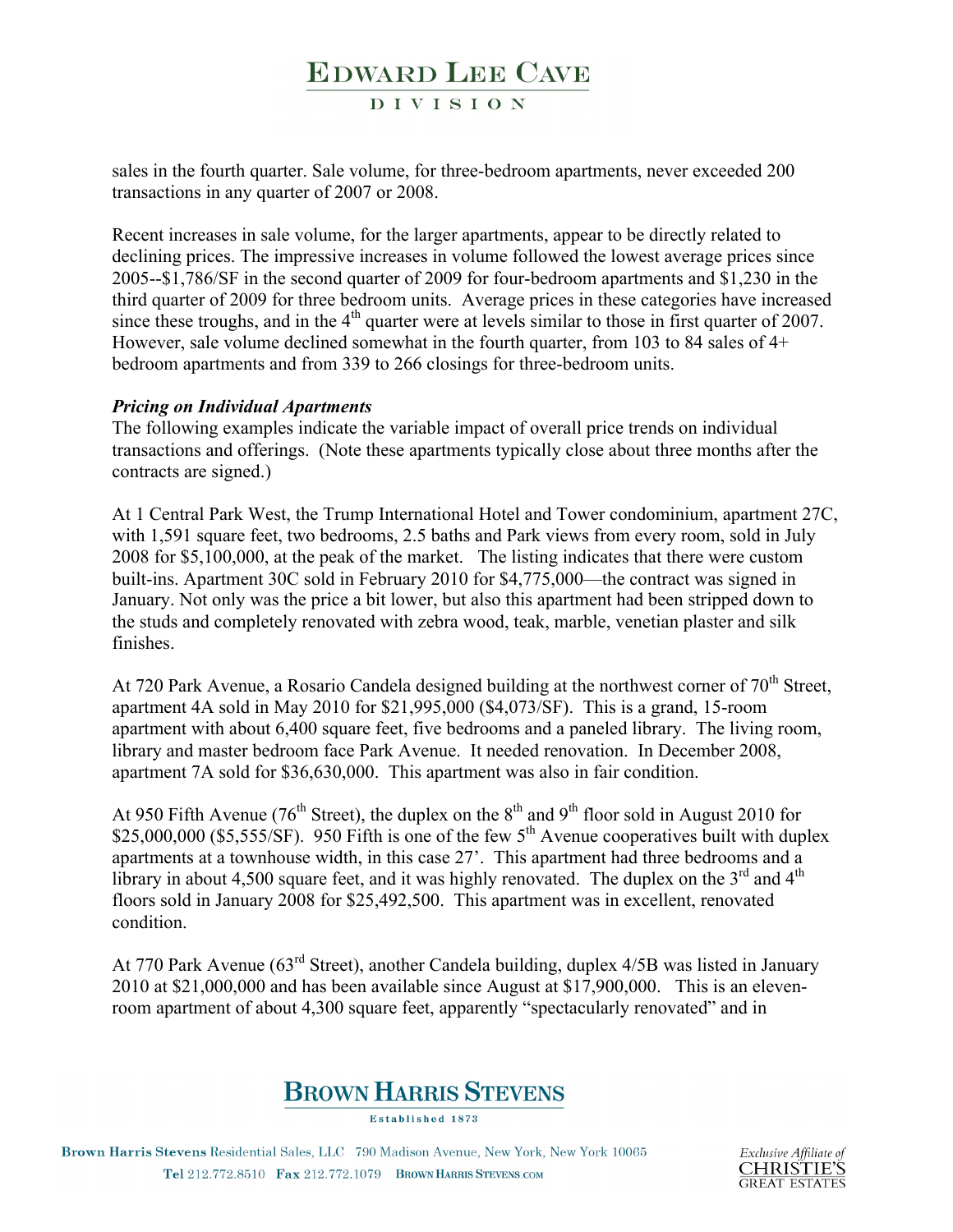**DIVISION** 

sales in the fourth quarter. Sale volume, for three-bedroom apartments, never exceeded 200 transactions in any quarter of 2007 or 2008.

Recent increases in sale volume, for the larger apartments, appear to be directly related to declining prices. The impressive increases in volume followed the lowest average prices since 2005--\$1,786/SF in the second quarter of 2009 for four-bedroom apartments and \$1,230 in the third quarter of 2009 for three bedroom units. Average prices in these categories have increased since these troughs, and in the  $4<sup>th</sup>$  quarter were at levels similar to those in first quarter of 2007. However, sale volume declined somewhat in the fourth quarter, from 103 to 84 sales of 4+ bedroom apartments and from 339 to 266 closings for three-bedroom units.

#### *Pricing on Individual Apartments*

The following examples indicate the variable impact of overall price trends on individual transactions and offerings. (Note these apartments typically close about three months after the contracts are signed.)

At 1 Central Park West, the Trump International Hotel and Tower condominium, apartment 27C, with 1,591 square feet, two bedrooms, 2.5 baths and Park views from every room, sold in July 2008 for \$5,100,000, at the peak of the market. The listing indicates that there were custom built-ins. Apartment 30C sold in February 2010 for \$4,775,000—the contract was signed in January. Not only was the price a bit lower, but also this apartment had been stripped down to the studs and completely renovated with zebra wood, teak, marble, venetian plaster and silk finishes.

At 720 Park Avenue, a Rosario Candela designed building at the northwest corner of  $70<sup>th</sup>$  Street, apartment 4A sold in May 2010 for \$21,995,000 (\$4,073/SF). This is a grand, 15-room apartment with about 6,400 square feet, five bedrooms and a paneled library. The living room, library and master bedroom face Park Avenue. It needed renovation. In December 2008, apartment 7A sold for \$36,630,000. This apartment was also in fair condition.

At 950 Fifth Avenue (76<sup>th</sup> Street), the duplex on the  $8<sup>th</sup>$  and  $9<sup>th</sup>$  floor sold in August 2010 for \$25,000,000 (\$5,555/SF). 950 Fifth is one of the few  $5<sup>th</sup>$  Avenue cooperatives built with duplex apartments at a townhouse width, in this case 27'. This apartment had three bedrooms and a library in about 4,500 square feet, and it was highly renovated. The duplex on the  $3<sup>rd</sup>$  and  $4<sup>th</sup>$ floors sold in January 2008 for \$25,492,500. This apartment was in excellent, renovated condition.

At 770 Park Avenue (63rd Street), another Candela building, duplex 4/5B was listed in January 2010 at \$21,000,000 and has been available since August at \$17,900,000. This is an elevenroom apartment of about 4,300 square feet, apparently "spectacularly renovated" and in

### **BROWN HARRIS STEVENS**

Established 1873

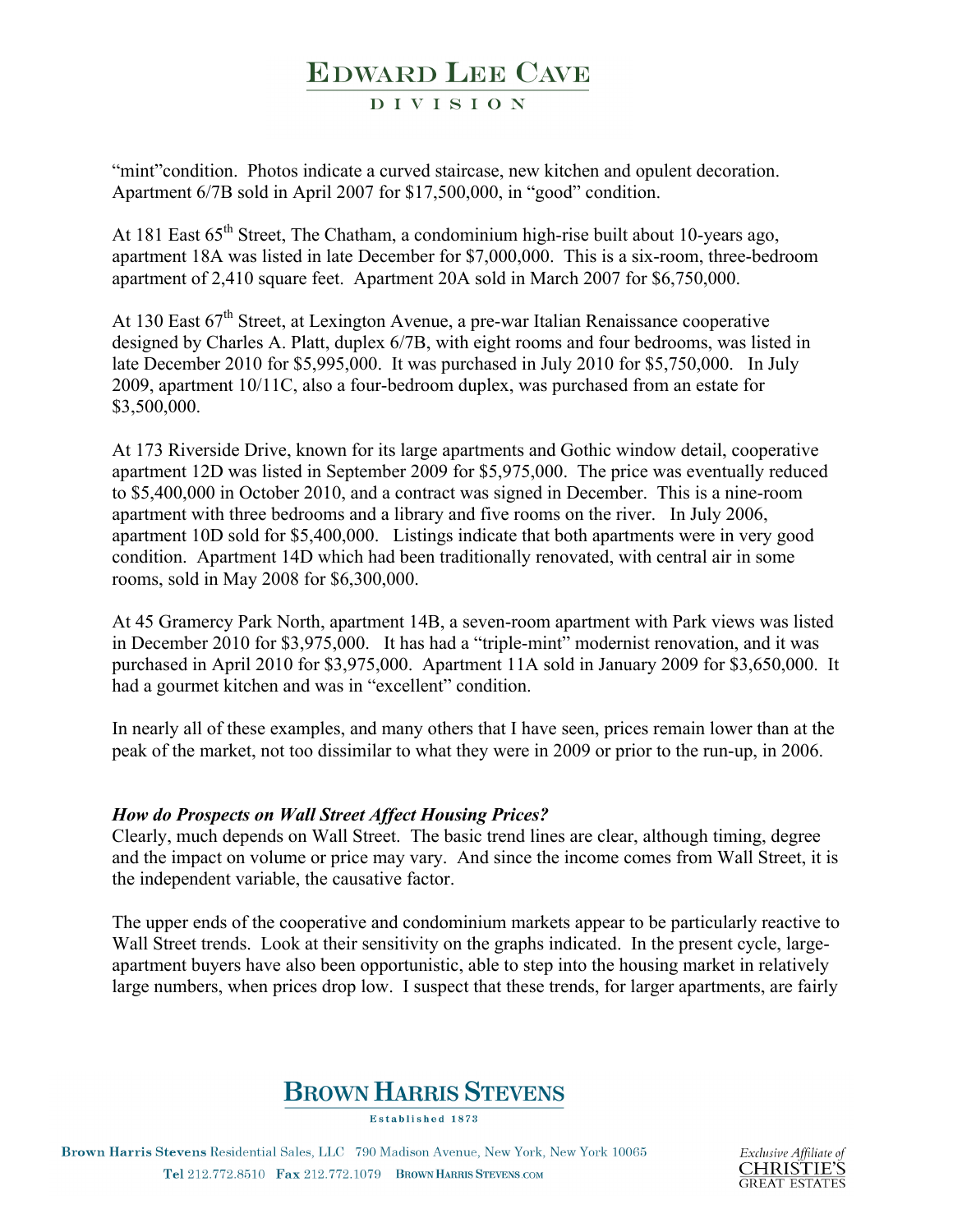#### **DIVISION**

"mint" condition. Photos indicate a curved staircase, new kitchen and opulent decoration. Apartment 6/7B sold in April 2007 for \$17,500,000, in "good" condition.

At 181 East 65<sup>th</sup> Street, The Chatham, a condominium high-rise built about 10-years ago, apartment 18A was listed in late December for \$7,000,000. This is a six-room, three-bedroom apartment of 2,410 square feet. Apartment 20A sold in March 2007 for \$6,750,000.

At 130 East 67<sup>th</sup> Street, at Lexington Avenue, a pre-war Italian Renaissance cooperative designed by Charles A. Platt, duplex 6/7B, with eight rooms and four bedrooms, was listed in late December 2010 for \$5,995,000. It was purchased in July 2010 for \$5,750,000. In July 2009, apartment 10/11C, also a four-bedroom duplex, was purchased from an estate for \$3,500,000.

At 173 Riverside Drive, known for its large apartments and Gothic window detail, cooperative apartment 12D was listed in September 2009 for \$5,975,000. The price was eventually reduced to \$5,400,000 in October 2010, and a contract was signed in December. This is a nine-room apartment with three bedrooms and a library and five rooms on the river. In July 2006, apartment 10D sold for \$5,400,000. Listings indicate that both apartments were in very good condition. Apartment 14D which had been traditionally renovated, with central air in some rooms, sold in May 2008 for \$6,300,000.

At 45 Gramercy Park North, apartment 14B, a seven-room apartment with Park views was listed in December 2010 for \$3,975,000. It has had a "triple-mint" modernist renovation, and it was purchased in April 2010 for \$3,975,000. Apartment 11A sold in January 2009 for \$3,650,000. It had a gourmet kitchen and was in "excellent" condition.

In nearly all of these examples, and many others that I have seen, prices remain lower than at the peak of the market, not too dissimilar to what they were in 2009 or prior to the run-up, in 2006.

#### *How do Prospects on Wall Street Affect Housing Prices?*

Clearly, much depends on Wall Street. The basic trend lines are clear, although timing, degree and the impact on volume or price may vary. And since the income comes from Wall Street, it is the independent variable, the causative factor.

The upper ends of the cooperative and condominium markets appear to be particularly reactive to Wall Street trends. Look at their sensitivity on the graphs indicated. In the present cycle, largeapartment buyers have also been opportunistic, able to step into the housing market in relatively large numbers, when prices drop low. I suspect that these trends, for larger apartments, are fairly

### **BROWN HARRIS STEVENS**

Established 1873